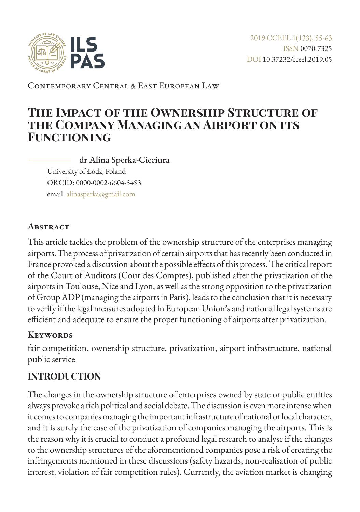

Contemporary Central & East European Law

# **The Impact of the Ownership Structure of the Company Managing an Airport on its Functioning**

dr Alina Sperka-Cieciura University of Łódź, Poland ORCID: 0000-0002-6604-5493 email: [alinasperka@gmail.com](mailto:alinasperka%40gmail.com?subject=)

#### **Abstract**

This article tackles the problem of the ownership structure of the enterprises managing airports. The process of privatization of certain airports that has recently been conducted in France provoked a discussion about the possible effects of this process. The critical report of the Court of Auditors (Cour des Comptes), published after the privatization of the airports in Toulouse, Nice and Lyon, as well as the strong opposition to the privatization of Group ADP (managing the airports in Paris), leads to the conclusion that it is necessary to verify if the legal measures adopted in European Union's and national legal systems are efficient and adequate to ensure the proper functioning of airports after privatization.

#### **Keywords**

fair competition, ownership structure, privatization, airport infrastructure, national public service

#### **INTRODUCTION**

The changes in the ownership structure of enterprises owned by state or public entities always provoke a rich political and social debate. The discussion is even more intense when it comes to companies managing the important infrastructure of national or local character, and it is surely the case of the privatization of companies managing the airports. This is the reason why it is crucial to conduct a profound legal research to analyse if the changes to the ownership structures of the aforementioned companies pose a risk of creating the infringements mentioned in these discussions (safety hazards, non-realisation of public interest, violation of fair competition rules). Currently, the aviation market is changing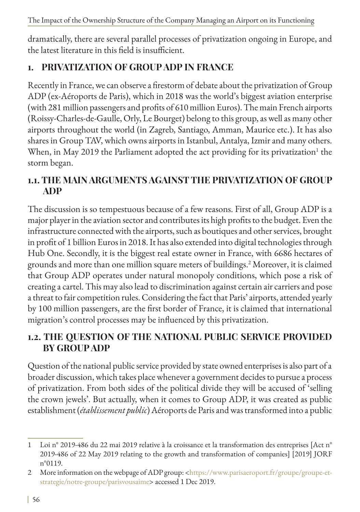dramatically, there are several parallel processes of privatization ongoing in Europe, and the latest literature in this field is insufficient.

## **1. PRIVATIZATION OF GROUP ADP IN FRANCE**

Recently in France, we can observe a firestorm of debate about the privatization of Group ADP (ex-Aéroports de Paris), which in 2018 was the world's biggest aviation enterprise (with 281 million passengers and profits of 610 million Euros). The main French airports (Roissy-Charles-de-Gaulle, Orly, Le Bourget) belong to this group, as well as many other airports throughout the world (in Zagreb, Santiago, Amman, Maurice etc.). It has also shares in Group TAV, which owns airports in Istanbul, Antalya, Izmir and many others. When, in May 2019 the Parliament adopted the act providing for its privatization<sup>1</sup> the storm began.

### **1.1. THE MAIN ARGUMENTS AGAINST THE PRIVATIZATION OF GROUP ADP**

The discussion is so tempestuous because of a few reasons. First of all, Group ADP is a major player in the aviation sector and contributes its high profits to the budget. Even the infrastructure connected with the airports, such as boutiques and other services, brought in profit of 1 billion Euros in 2018. It has also extended into digital technologies through Hub One. Secondly, it is the biggest real estate owner in France, with 6686 hectares of grounds and more than one million square meters of buildings.2 Moreover, it is claimed that Group ADP operates under natural monopoly conditions, which pose a risk of creating a cartel. This may also lead to discrimination against certain air carriers and pose a threat to fair competition rules. Considering the fact that Paris' airports, attended yearly by 100 million passengers, are the first border of France, it is claimed that international migration's control processes may be influenced by this privatization.

### **1.2. THE QUESTION OF THE NATIONAL PUBLIC SERVICE PROVIDED BY GROUP ADP**

Question of the national public service provided by state owned enterprises is also part of a broader discussion, which takes place whenever a government decides to pursue a process of privatization. From both sides of the political divide they will be accused of 'selling the crown jewels'. But actually, when it comes to Group ADP, it was created as public establishment (*établissement public*) Aéroports de Paris and was transformed into a public

<sup>1</sup> Loi n° 2019-486 du 22 mai 2019 relative à la croissance et la transformation des entreprises [Act n° 2019-486 of 22 May 2019 relating to the growth and transformation of companies] [2019] JORF n°0119.

<sup>2</sup> More information on the webpage of ADP group: [<https://www.parisaeroport.fr/groupe/groupe-et](https://www.parisaeroport.fr/groupe/groupe-et-strategie/notre-groupe/parisvousaime)[strategie/notre-groupe/parisvousaime](https://www.parisaeroport.fr/groupe/groupe-et-strategie/notre-groupe/parisvousaime)> accessed 1 Dec 2019.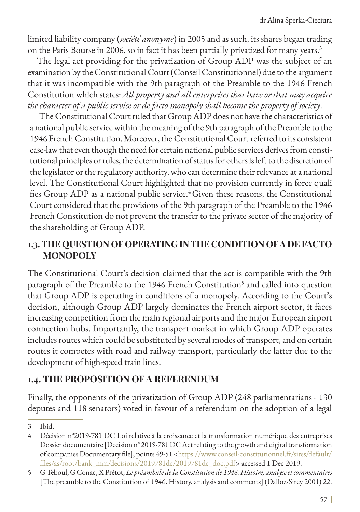limited liability company (*société anonyme*) in 2005 and as such, its shares began trading on the Paris Bourse in 2006, so in fact it has been partially privatized for many years.<sup>3</sup>

The legal act providing for the privatization of Group ADP was the subject of an examination by the Constitutional Court (Conseil Constitutionnel) due to the argument that it was incompatible with the 9th paragraph of the Preamble to the 1946 French Constitution which states: *All property and all enterprises that have or that may acquire the character of a public service or de facto monopoly shall become the property of society*.

The Constitutional Court ruled that Group ADP does not have the characteristics of a national public service within the meaning of the 9th paragraph of the Preamble to the 1946 French Constitution. Moreover, the Constitutional Court referred to its consistent case-law that even though the need for certain national public services derives from constitutional principles or rules, the determination of status for others is left to the discretion of the legislator or the regulatory authority, who can determine their relevance at a national level. The Constitutional Court highlighted that no provision currently in force quali fies Group ADP as a national public service.<sup>4</sup> Given these reasons, the Constitutional Court considered that the provisions of the 9th paragraph of the Preamble to the 1946 French Constitution do not prevent the transfer to the private sector of the majority of the shareholding of Group ADP.

#### **1.3. THE QUESTION OF OPERATING IN THE CONDITION OF A DE FACTO MONOPOLY**

The Constitutional Court's decision claimed that the act is compatible with the 9th paragraph of the Preamble to the 1946 French Constitution<sup>5</sup> and called into question that Group ADP is operating in conditions of a monopoly. According to the Court's decision, although Group ADP largely dominates the French airport sector, it faces increasing competition from the main regional airports and the major European airport connection hubs. Importantly, the transport market in which Group ADP operates includes routes which could be substituted by several modes of transport, and on certain routes it competes with road and railway transport, particularly the latter due to the development of high-speed train lines.

### **1.4. THE PROPOSITION OF A REFERENDUM**

Finally, the opponents of the privatization of Group ADP (248 parliamentarians - 130 deputes and 118 senators) voted in favour of a referendum on the adoption of a legal

<sup>3</sup> Ibid.

<sup>4</sup> Décision n°2019-781 DC Loi relative à la croissance et la transformation numérique des entreprises Dossier documentaire [Decision n° 2019-781 DC Act relating to the growth and digital transformation of companies Documentary file], points 49-51 <[https://www.conseil-constitutionnel.fr/sites/default/](https://www.conseil-constitutionnel.fr/sites/default/files/as/root/bank_mm/decisions/2019781dc/2019781dc_doc.pdf) [files/as/root/bank\\_mm/decisions/2019781dc/2019781dc\\_doc.pdf](https://www.conseil-constitutionnel.fr/sites/default/files/as/root/bank_mm/decisions/2019781dc/2019781dc_doc.pdf)> accessed 1 Dec 2019.

<sup>5</sup> G Teboul, G Conac, X Prétot, *Le préambule de la Constitution de 1946. Histoire, analyse et commentaires* [The preamble to the Constitution of 1946. History, analysis and comments] (Dalloz-Sirey 2001) 22.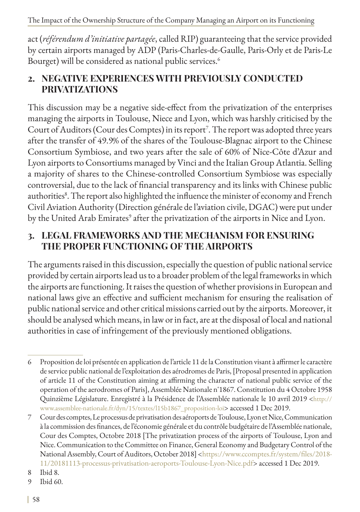The Impact of the Ownership Structure of the Company Managing an Airport on its Functioning

act (*référendum d'initiative partagée*, called RIP) guaranteeing that the service provided by certain airports managed by ADP (Paris-Charles-de-Gaulle, Paris-Orly et de Paris-Le Bourget) will be considered as national public services.<sup>6</sup>

### **2. NEGATIVE EXPERIENCES WITH PREVIOUSLY CONDUCTED PRIVATIZATIONS**

This discussion may be a negative side-effect from the privatization of the enterprises managing the airports in Toulouse, Niece and Lyon, which was harshly criticised by the Court of Auditors (Cour des Comptes) in its report<sup>7</sup>. The report was adopted three years after the transfer of 49.9% of the shares of the Toulouse-Blagnac airport to the Chinese Consortium Symbiose, and two years after the sale of 60% of Nice-Côte d'Azur and Lyon airports to Consortiums managed by Vinci and the Italian Group Atlantia. Selling a majority of shares to the Chinese-controlled Consortium Symbiose was especially controversial, due to the lack of financial transparency and its links with Chinese public authorities<sup>8</sup>. The report also highlighted the influence the minister of economy and French Civil Aviation Authority (Direction générale de l'aviation civile, DGAC) were put under by the United Arab Emirates<sup>9</sup> after the privatization of the airports in Nice and Lyon.

## **3. LEGAL FRAMEWORKS AND THE MECHANISM FOR ENSURING THE PROPER FUNCTIONING OF THE AIRPORTS**

The arguments raised in this discussion, especially the question of public national service provided by certain airports lead us to a broader problem of the legal frameworks in which the airports are functioning. It raises the question of whether provisions in European and national laws give an effective and sufficient mechanism for ensuring the realisation of public national service and other critical missions carried out by the airports. Moreover, it should be analysed which means, in law or in fact, are at the disposal of local and national authorities in case of infringement of the previously mentioned obligations.

<sup>6</sup> Proposition de loi présentée en application de l'article 11 de la Constitution visant à affirmer le caractère de service public national de l'exploitation des aérodromes de Paris, [Proposal presented in application of article 11 of the Constitution aiming at affirming the character of national public service of the operation of the aerodromes of Paris], Assemblée Nationale n˚1867. Constitution du 4 Octobre 1958 Quinzième Législature. Enregistré à la Présidence de l'Assemblée nationale le 10 avril 2019 [<http://](http://www.assemblee-nationale.fr/dyn/15/textes/l15b1867_proposition-loi) [www.assemblee-nationale.fr/dyn/15/textes/l15b1867\\_proposition-loi](http://www.assemblee-nationale.fr/dyn/15/textes/l15b1867_proposition-loi)> accessed 1 Dec 2019.

<sup>7</sup> Cour des comptes, Le processus de privatisation des aéroports de Toulouse, Lyon et Nice, Communication à la commission des finances, de l'économie générale et du contrôle budgétaire de l'Assemblée nationale, Cour des Comptes, Octobre 2018 [The privatization process of the airports of Toulouse, Lyon and Nice. Communication to the Committee on Finance, General Economy and Budgetary Control of the National Assembly, Court of Auditors, October 2018] <[https://www.ccomptes.fr/system/files/2018-](https://www.ccomptes.fr/system/files/2018-11/20181113-processus-privatisation-aeroports-Toulouse-Lyon-Nice.pdf) [11/20181113-processus-privatisation-aeroports-Toulouse-Lyon-Nice.pdf](https://www.ccomptes.fr/system/files/2018-11/20181113-processus-privatisation-aeroports-Toulouse-Lyon-Nice.pdf)> accessed 1 Dec 2019.

<sup>8</sup> Ibid 8.

<sup>9</sup> Ibid 60.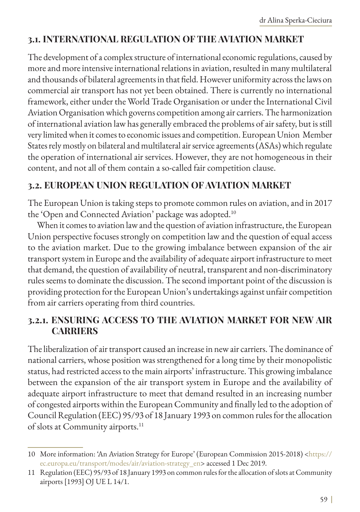### **3.1. INTERNATIONAL REGULATION OF THE AVIATION MARKET**

The development of a complex structure of international economic regulations, caused by more and more intensive international relations in aviation, resulted in many multilateral and thousands of bilateral agreements in that field. However uniformity across the laws on commercial air transport has not yet been obtained. There is currently no international framework, either under the World Trade Organisation or under the International Civil Aviation Organisation which governs competition among air carriers. The harmonization of international aviation law has generally embraced the problems of air safety, but is still very limited when it comes to economic issues and competition. European Union Member States rely mostly on bilateral and multilateral air service agreements (ASAs) which regulate the operation of international air services. However, they are not homogeneous in their content, and not all of them contain a so-called fair competition clause.

#### **3.2. EUROPEAN UNION REGULATION OF AVIATION MARKET**

The European Union is taking steps to promote common rules on aviation, and in 2017 the 'Open and Connected Aviation' package was adopted.<sup>10</sup>

When it comes to aviation law and the question of aviation infrastructure, the European Union perspective focuses strongly on competition law and the question of equal access to the aviation market. Due to the growing imbalance between expansion of the air transport system in Europe and the availability of adequate airport infrastructure to meet that demand, the question of availability of neutral, transparent and non-discriminatory rules seems to dominate the discussion. The second important point of the discussion is providing protection for the European Union's undertakings against unfair competition from air carriers operating from third countries.

### **3.2.1. ENSURING ACCESS TO THE AVIATION MARKET FOR NEW AIR CARRIERS**

The liberalization of air transport caused an increase in new air carriers. The dominance of national carriers, whose position was strengthened for a long time by their monopolistic status, had restricted access to the main airports' infrastructure. This growing imbalance between the expansion of the air transport system in Europe and the availability of adequate airport infrastructure to meet that demand resulted in an increasing number of congested airports within the European Community and finally led to the adoption of Council Regulation (EEC) 95/93 of 18 January 1993 on common rules for the allocation of slots at Community airports.<sup>11</sup>

<sup>10</sup> More information: 'An Aviation Strategy for Europe' (European Commission 2015-2018) [<https://](https://ec.europa.eu/transport/modes/air/aviation-strategy_en) [ec.europa.eu/transport/modes/air/aviation-strategy\\_en>](https://ec.europa.eu/transport/modes/air/aviation-strategy_en) accessed 1 Dec 2019.

<sup>11</sup> Regulation (EEC) 95/93 of 18 January 1993 on common rules for the allocation of slots at Community airports [1993] OJ UE L 14/1.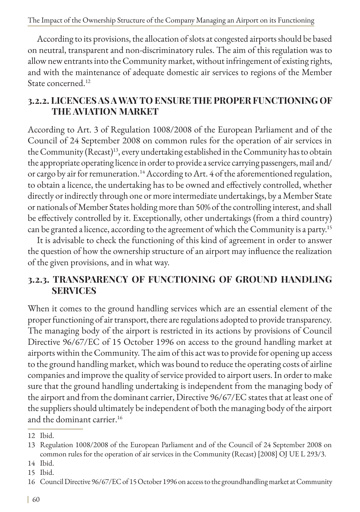According to its provisions, the allocation of slots at congested airports should be based on neutral, transparent and non-discriminatory rules. The aim of this regulation was to allow new entrants into the Community market, without infringement of existing rights, and with the maintenance of adequate domestic air services to regions of the Member State concerned.12

### **3.2.2. LICENCES AS A WAY TO ENSURE THE PROPER FUNCTIONING OF THE AVIATION MARKET**

According to Art. 3 of Regulation 1008/2008 of the European Parliament and of the Council of 24 September 2008 on common rules for the operation of air services in the Community (Recast)<sup>13</sup>, every undertaking established in the Community has to obtain the appropriate operating licence in order to provide a service carrying passengers, mail and/ or cargo by air for remuneration.<sup>14</sup> According to Art. 4 of the aforementioned regulation, to obtain a licence, the undertaking has to be owned and effectively controlled, whether directly or indirectly through one or more intermediate undertakings, by a Member State or nationals of Member States holding more than 50% of the controlling interest, and shall be effectively controlled by it. Exceptionally, other undertakings (from a third country) can be granted a licence, according to the agreement of which the Community is a party.15

It is advisable to check the functioning of this kind of agreement in order to answer the question of how the ownership structure of an airport may influence the realization of the given provisions, and in what way.

### **3.2.3. TRANSPARENCY OF FUNCTIONING OF GROUND HANDLING SERVICES**

When it comes to the ground handling services which are an essential element of the proper functioning of air transport, there are regulations adopted to provide transparency. The managing body of the airport is restricted in its actions by provisions of Council Directive 96/67/EC of 15 October 1996 on access to the ground handling market at airports within the Community. The aim of this act was to provide for opening up access to the ground handling market, which was bound to reduce the operating costs of airline companies and improve the quality of service provided to airport users. In order to make sure that the ground handling undertaking is independent from the managing body of the airport and from the dominant carrier, Directive 96/67/EC states that at least one of the suppliers should ultimately be independent of both the managing body of the airport and the dominant carrier.<sup>16</sup>

<sup>12</sup> Ibid.

<sup>13</sup> Regulation 1008/2008 of the European Parliament and of the Council of 24 September 2008 on common rules for the operation of air services in the Community (Recast) [2008] OJ UE L 293/3.

<sup>14</sup> Ibid.

<sup>15</sup> Ibid.

<sup>16</sup> Council Directive 96/67/EC of 15 October 1996 on access to the groundhandling market at Community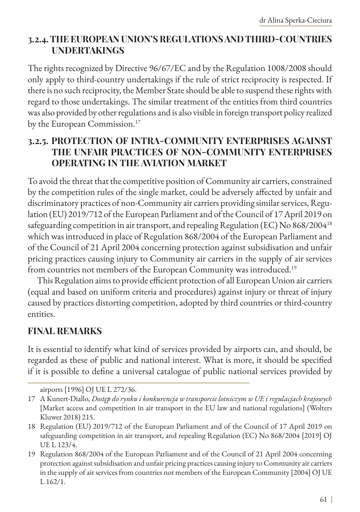#### **3.2.4. THE EUROPEAN UNION'S REGULATIONS AND THIRD-COUNTRIES UNDERTAKINGS**

The rights recognized by Directive 96/67/EC and by the Regulation 1008/2008 should only apply to third-country undertakings if the rule of strict reciprocity is respected. If there is no such reciprocity, the Member State should be able to suspend these rights with regard to those undertakings. The similar treatment of the entities from third countries was also provided by other regulations and is also visible in foreign transport policy realized by the European Commission.<sup>17</sup>

#### **3.2.5. PROTECTION OF INTRA-COMMUNITY ENTERPRISES AGAINST THE UNFAIR PRACTICES OF NON-COMMUNITY ENTERPRISES OPERATING IN THE AVIATION MARKET**

To avoid the threat that the competitive position of Community air carriers, constrained by the competition rules of the single market, could be adversely affected by unfair and discriminatory practices of non-Community air carriers providing similar services, Regulation (EU) 2019/712 of the European Parliament and of the Council of 17 April 2019 on safeguarding competition in air transport, and repealing Regulation (EC) No 868/200418 which was introduced in place of Regulation 868/2004 of the European Parliament and of the Council of 21 April 2004 concerning protection against subsidisation and unfair pricing practices causing injury to Community air carriers in the supply of air services from countries not members of the European Community was introduced.<sup>19</sup>

This Regulation aims to provide efficient protection of all European Union air carriers (equal and based on uniform criteria and procedures) against injury or threat of injury caused by practices distorting competition, adopted by third countries or third-country entities.

#### **FINAL REMARKS**

It is essential to identify what kind of services provided by airports can, and should, be regarded as these of public and national interest. What is more, it should be specified if it is possible to define a universal catalogue of public national services provided by

airports [1996] OJ UE L 272/36.

<sup>17</sup> A Kunert-Diallo, *Dostęp do rynku i konkurencja w transporcie lotniczym w UE i regulacjach krajowych*  [Market access and competition in air transport in the EU law and national regulations] (Wolters Kluwer 2018) 215.

<sup>18</sup> Regulation (EU) 2019/712 of the European Parliament and of the Council of 17 April 2019 on safeguarding competition in air transport, and repealing Regulation (EC) No 868/2004 [2019] OJ UE L 123/4.

<sup>19</sup> Regulation 868/2004 of the European Parliament and of the Council of 21 April 2004 concerning protection against subsidisation and unfair pricing practices causing injury to Community air carriers in the supply of air services from countries not members of the European Community [2004] OJ UE L 162/1.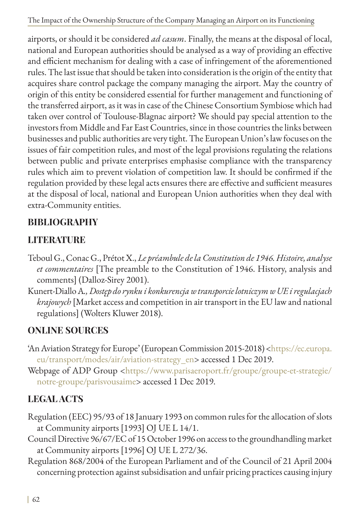The Impact of the Ownership Structure of the Company Managing an Airport on its Functioning

airports, or should it be considered *ad casum*. Finally, the means at the disposal of local, national and European authorities should be analysed as a way of providing an effective and efficient mechanism for dealing with a case of infringement of the aforementioned rules. The last issue that should be taken into consideration is the origin of the entity that acquires share control package the company managing the airport. May the country of origin of this entity be considered essential for further management and functioning of the transferred airport, as it was in case of the Chinese Consortium Symbiose which had taken over control of Toulouse-Blagnac airport? We should pay special attention to the investors from Middle and Far East Countries, since in those countries the links between businesses and public authorities are very tight. The European Union's law focuses on the issues of fair competition rules, and most of the legal provisions regulating the relations between public and private enterprises emphasise compliance with the transparency rules which aim to prevent violation of competition law. It should be confirmed if the regulation provided by these legal acts ensures there are effective and sufficient measures at the disposal of local, national and European Union authorities when they deal with extra-Community entities.

## **BIBLIOGRAPHY**

# **LITERATURE**

- Teboul G., Conac G., Prétot X., *Le préambule de la Constitution de 1946. Histoire, analyse et commentaires* [The preamble to the Constitution of 1946. History, analysis and comments] (Dalloz-Sirey 2001).
- Kunert-Diallo A*., Dostęp do rynku i konkurencja w transporcie lotniczym w UE i regulacjach krajowych* [Market access and competition in air transport in the EU law and national regulations] (Wolters Kluwer 2018).

## **ONLINE SOURCES**

- 'An Aviation Strategy for Europe' (European Commission 2015-2018) [<https://ec.europa.](https://ec.europa.eu/transport/modes/air/aviation-strategy_en) [eu/transport/modes/air/aviation-strategy\\_en](https://ec.europa.eu/transport/modes/air/aviation-strategy_en)> accessed 1 Dec 2019.
- Webpage of ADP Group <[https://www.parisaeroport.fr/groupe/groupe-et-strategie/](https://www.parisaeroport.fr/groupe/groupe-et-strategie/notre-groupe/parisvousaime) [notre-groupe/parisvousaime>](https://www.parisaeroport.fr/groupe/groupe-et-strategie/notre-groupe/parisvousaime) accessed 1 Dec 2019.

# **LEGAL ACTS**

- Regulation (EEC) 95/93 of 18 January 1993 on common rules for the allocation of slots at Community airports [1993] OJ UE L 14/1.
- Council Directive 96/67/EC of 15 October 1996 on access to the groundhandling market at Community airports [1996] OJ UE L 272/36.
- Regulation 868/2004 of the European Parliament and of the Council of 21 April 2004 concerning protection against subsidisation and unfair pricing practices causing injury